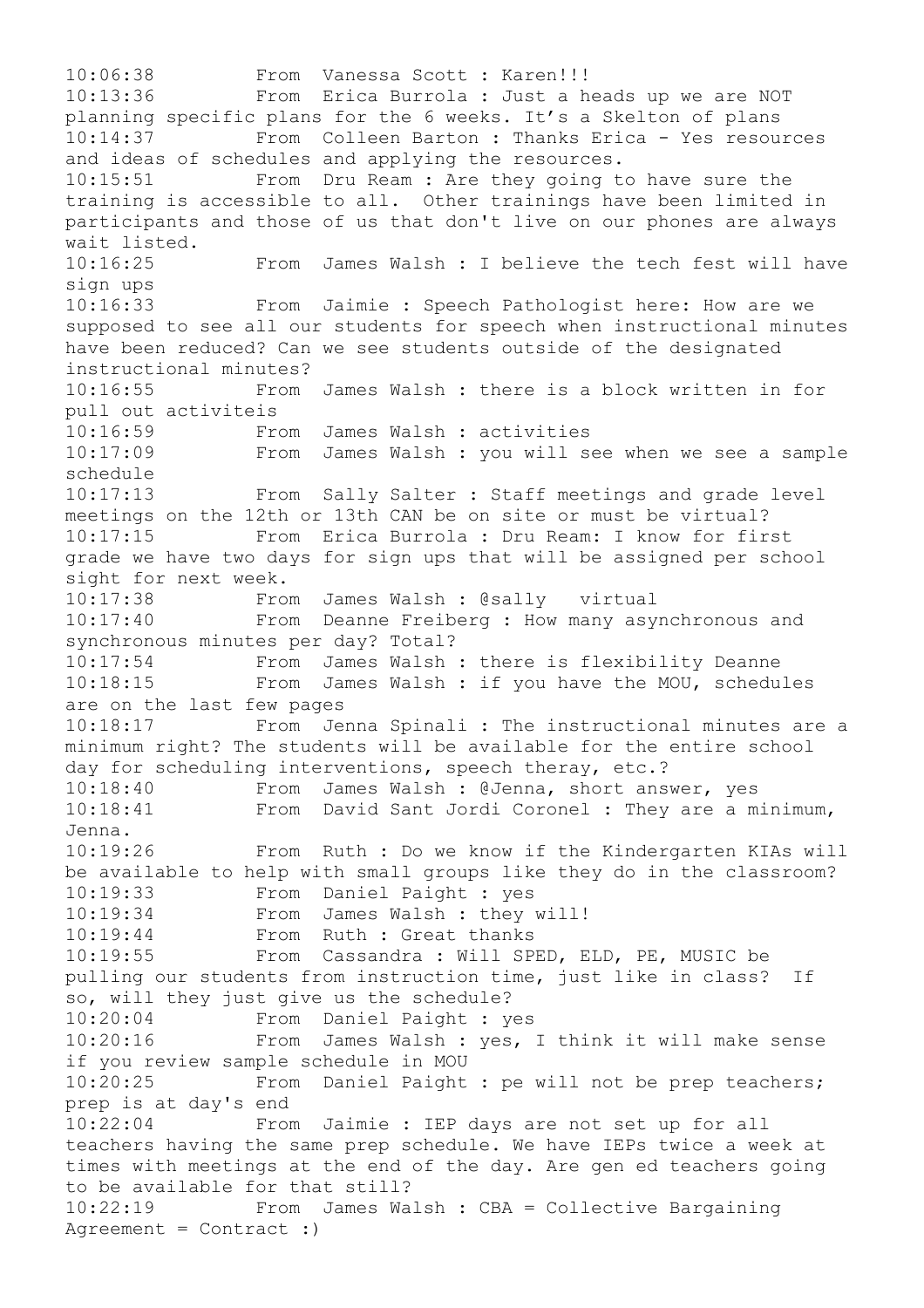10:06:38 From Vanessa Scott : Karen!!! 10:13:36 From Erica Burrola : Just a heads up we are NOT planning specific plans for the 6 weeks. It's a Skelton of plans<br>10:14:37 From Colleen Barton : Thanks Erica - Yes resou: From Colleen Barton : Thanks Erica - Yes resources and ideas of schedules and applying the resources. 10:15:51 From Dru Ream : Are they going to have sure the training is accessible to all. Other trainings have been limited in participants and those of us that don't live on our phones are always wait listed.<br> $10:16:25$ From James Walsh : I believe the tech fest will have sign ups 10:16:33 From Jaimie : Speech Pathologist here: How are we supposed to see all our students for speech when instructional minutes have been reduced? Can we see students outside of the designated instructional minutes? 10:16:55 From James Walsh : there is a block written in for pull out activiteis 10:16:59 From James Walsh : activities<br>10:17:09 From James Walsh : you will se From James Walsh : you will see when we see a sample schedule 10:17:13 From Sally Salter : Staff meetings and grade level meetings on the 12th or 13th CAN be on site or must be virtual?<br>10:17:15 From Erica Burrola : Dru Ream: I know for fir: From Erica Burrola : Dru Ream: I know for first grade we have two days for sign ups that will be assigned per school sight for next week. 10:17:38 From James Walsh : @sally virtual 10:17:40 From Deanne Freiberg : How many asynchronous and synchronous minutes per day? Total? 10:17:54 From James Walsh : there is flexibility Deanne 10:18:15 From James Walsh : if you have the MOU, schedules are on the last few pages 10:18:17 From Jenna Spinali : The instructional minutes are a minimum right? The students will be available for the entire school day for scheduling interventions, speech theray, etc.? 10:18:40 From James Walsh : @Jenna, short answer, yes 10:18:41 From David Sant Jordi Coronel : They are a minimum, Jenna. 10:19:26 From Ruth : Do we know if the Kindergarten KIAs will be available to help with small groups like they do in the classroom? 10:19:33 From Daniel Paight : yes 10:19:34 From James Walsh : they will! 10:19:44 From Ruth : Great thanks 10:19:55 From Cassandra : Will SPED, ELD, PE, MUSIC be pulling our students from instruction time, just like in class? If so, will they just give us the schedule? 10:20:04 From Daniel Paight : yes 10:20:16 From James Walsh : yes, I think it will make sense if you review sample schedule in MOU 10:20:25 From Daniel Paight : pe will not be prep teachers; prep is at day's end 10:22:04 From Jaimie : IEP days are not set up for all teachers having the same prep schedule. We have IEPs twice a week at times with meetings at the end of the day. Are gen ed teachers going to be available for that still? 10:22:19 From James Walsh : CBA = Collective Bargaining Agreement = Contract :)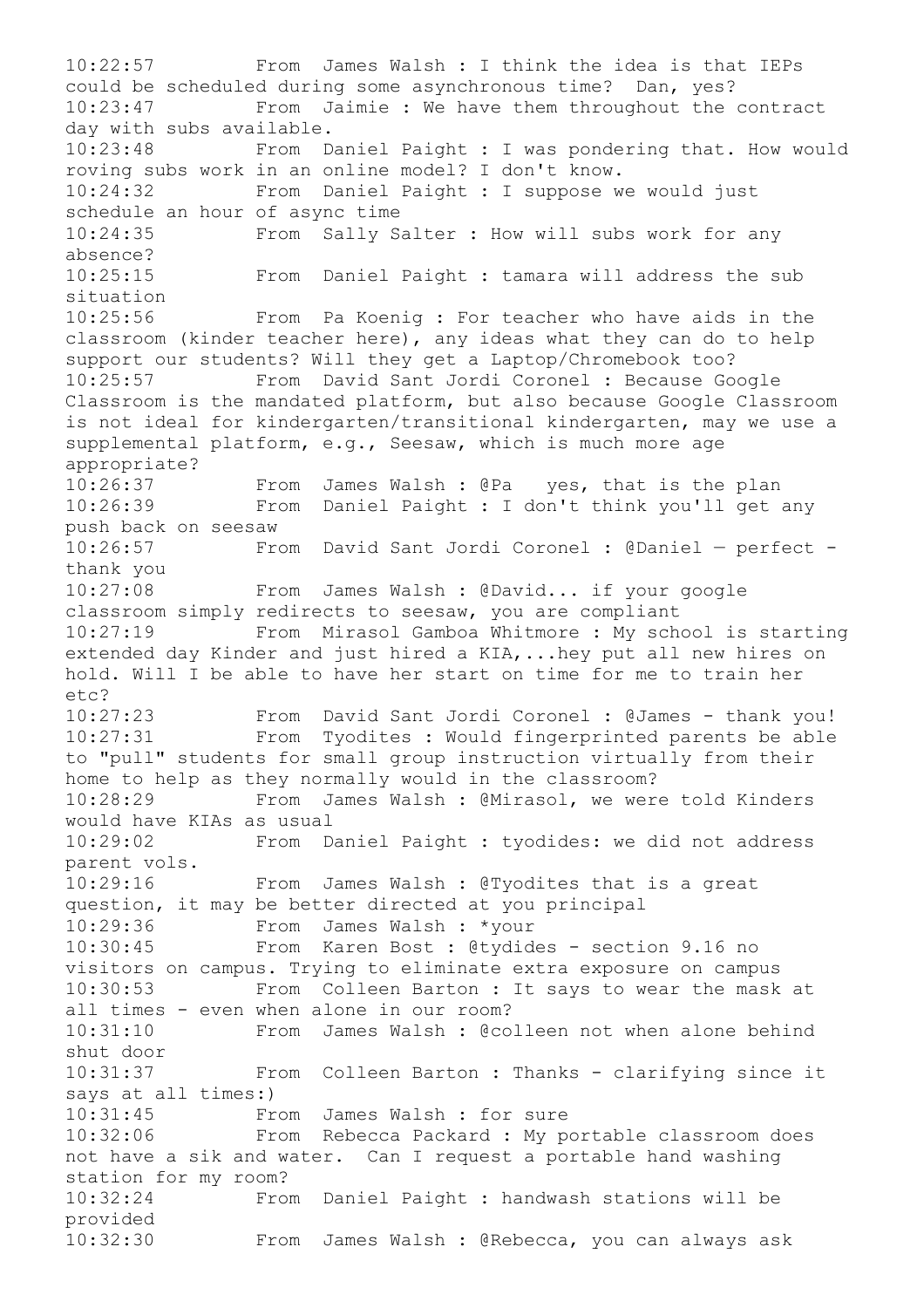10:22:57 From James Walsh : I think the idea is that IEPs could be scheduled during some asynchronous time? Dan, yes? 10:23:47 From Jaimie : We have them throughout the contract day with subs available. 10:23:48 From Daniel Paight : I was pondering that. How would roving subs work in an online model? I don't know. 10:24:32 From Daniel Paight : I suppose we would just schedule an hour of async time 10:24:35 From Sally Salter : How will subs work for any absence? 10:25:15 From Daniel Paight : tamara will address the sub situation 10:25:56 From Pa Koenig : For teacher who have aids in the classroom (kinder teacher here), any ideas what they can do to help support our students? Will they get a Laptop/Chromebook too? 10:25:57 From David Sant Jordi Coronel : Because Google Classroom is the mandated platform, but also because Google Classroom is not ideal for kindergarten/transitional kindergarten, may we use a supplemental platform, e.g., Seesaw, which is much more age appropriate? 10:26:37 From James Walsh : @Pa yes, that is the plan 10:26:39 From Daniel Paight : I don't think you'll get any push back on seesaw 10:26:57 From David Sant Jordi Coronel : @Daniel — perfect thank you 10:27:08 From James Walsh : @David... if your google classroom simply redirects to seesaw, you are compliant 10:27:19 From Mirasol Gamboa Whitmore : My school is starting extended day Kinder and just hired a KIA,...hey put all new hires on hold. Will I be able to have her start on time for me to train her etc? 10:27:23 From David Sant Jordi Coronel : @James - thank you! 10:27:31 From Tyodites : Would fingerprinted parents be able to "pull" students for small group instruction virtually from their home to help as they normally would in the classroom? 10:28:29 From James Walsh : @Mirasol, we were told Kinders would have KIAs as usual 10:29:02 From Daniel Paight : tyodides: we did not address parent vols. 10:29:16 From James Walsh : @Tyodites that is a great question, it may be better directed at you principal 10:29:36 From James Walsh : \*your 10:30:45 From Karen Bost : @tydides - section 9.16 no visitors on campus. Trying to eliminate extra exposure on campus 10:30:53 From Colleen Barton : It says to wear the mask at all times - even when alone in our room? 10:31:10 From James Walsh : @colleen not when alone behind shut door 10:31:37 From Colleen Barton : Thanks - clarifying since it says at all times:) 10:31:45 From James Walsh : for sure 10:32:06 From Rebecca Packard : My portable classroom does not have a sik and water. Can I request a portable hand washing station for my room? 10:32:24 From Daniel Paight : handwash stations will be provided 10:32:30 From James Walsh : @Rebecca, you can always ask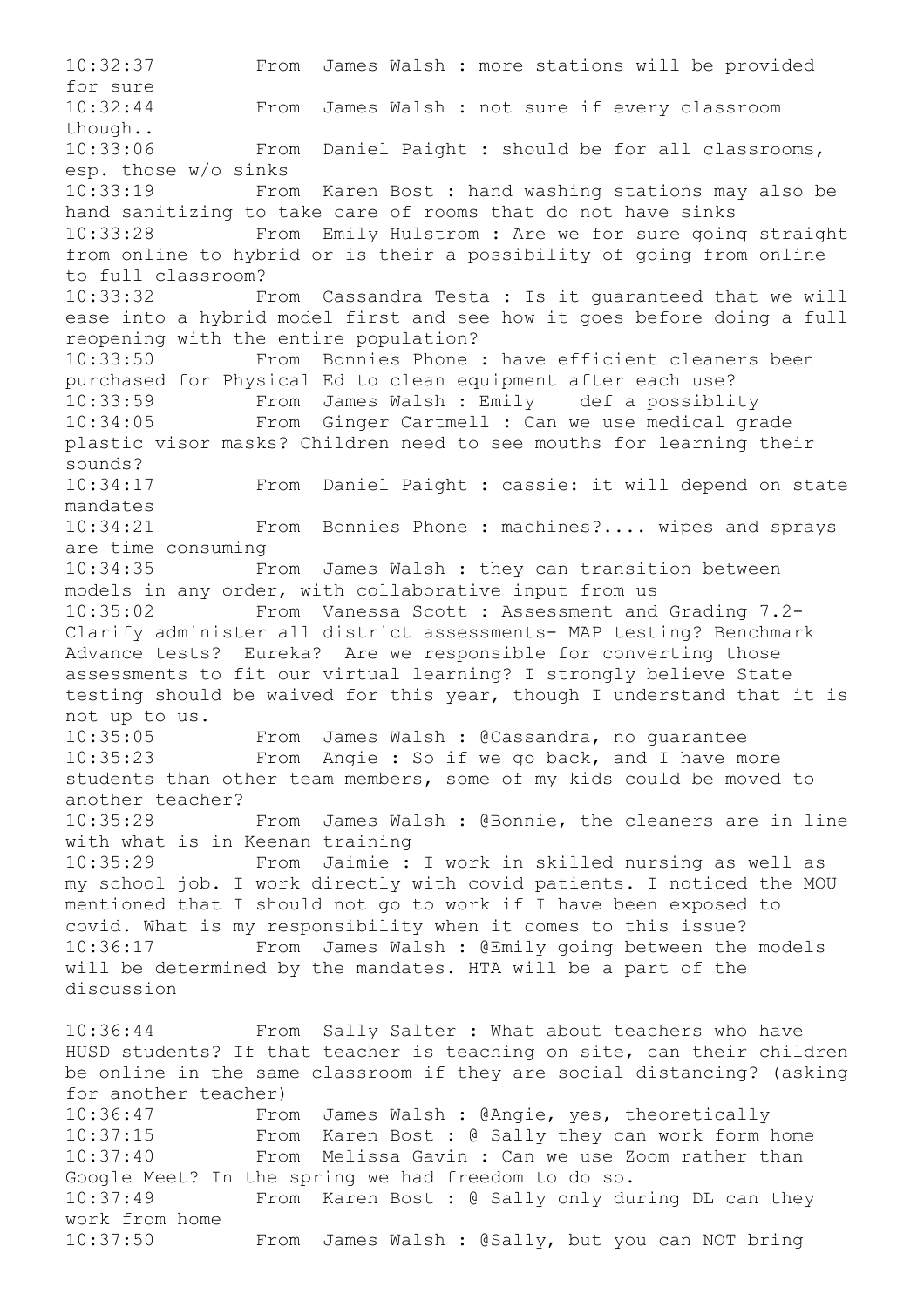10:32:37 From James Walsh : more stations will be provided for sure 10:32:44 From James Walsh : not sure if every classroom though.. 10:33:06 From Daniel Paight : should be for all classrooms, esp. those w/o sinks 10:33:19 From Karen Bost : hand washing stations may also be hand sanitizing to take care of rooms that do not have sinks 10:33:28 From Emily Hulstrom : Are we for sure going straight from online to hybrid or is their a possibility of going from online to full classroom? 10:33:32 From Cassandra Testa : Is it guaranteed that we will ease into a hybrid model first and see how it goes before doing a full reopening with the entire population? 10:33:50 From Bonnies Phone : have efficient cleaners been purchased for Physical Ed to clean equipment after each use? 10:33:59 From James Walsh : Emily def a possiblity 10:34:05 From Ginger Cartmell : Can we use medical grade plastic visor masks? Children need to see mouths for learning their sounds? 10:34:17 From Daniel Paight : cassie: it will depend on state mandates 10:34:21 From Bonnies Phone : machines?.... wipes and sprays are time consuming 10:34:35 From James Walsh : they can transition between models in any order, with collaborative input from us 10:35:02 From Vanessa Scott : Assessment and Grading 7.2- Clarify administer all district assessments- MAP testing? Benchmark Advance tests? Eureka? Are we responsible for converting those assessments to fit our virtual learning? I strongly believe State testing should be waived for this year, though I understand that it is not up to us. 10:35:05 From James Walsh : @Cassandra, no guarantee 10:35:23 From Angie : So if we go back, and I have more students than other team members, some of my kids could be moved to another teacher? 10:35:28 From James Walsh : @Bonnie, the cleaners are in line with what is in Keenan training 10:35:29 From Jaimie : I work in skilled nursing as well as my school job. I work directly with covid patients. I noticed the MOU mentioned that I should not go to work if I have been exposed to covid. What is my responsibility when it comes to this issue? 10:36:17 From James Walsh : @Emily going between the models will be determined by the mandates. HTA will be a part of the discussion 10:36:44 From Sally Salter : What about teachers who have HUSD students? If that teacher is teaching on site, can their children be online in the same classroom if they are social distancing? (asking for another teacher) 10:36:47 From James Walsh : @Angie, yes, theoretically 10:37:15 From Karen Bost : @ Sally they can work form home 10:37:40 From Melissa Gavin : Can we use Zoom rather than Google Meet? In the spring we had freedom to do so. 10:37:49 From Karen Bost : @ Sally only during DL can they work from home 10:37:50 From James Walsh : @Sally, but you can NOT bring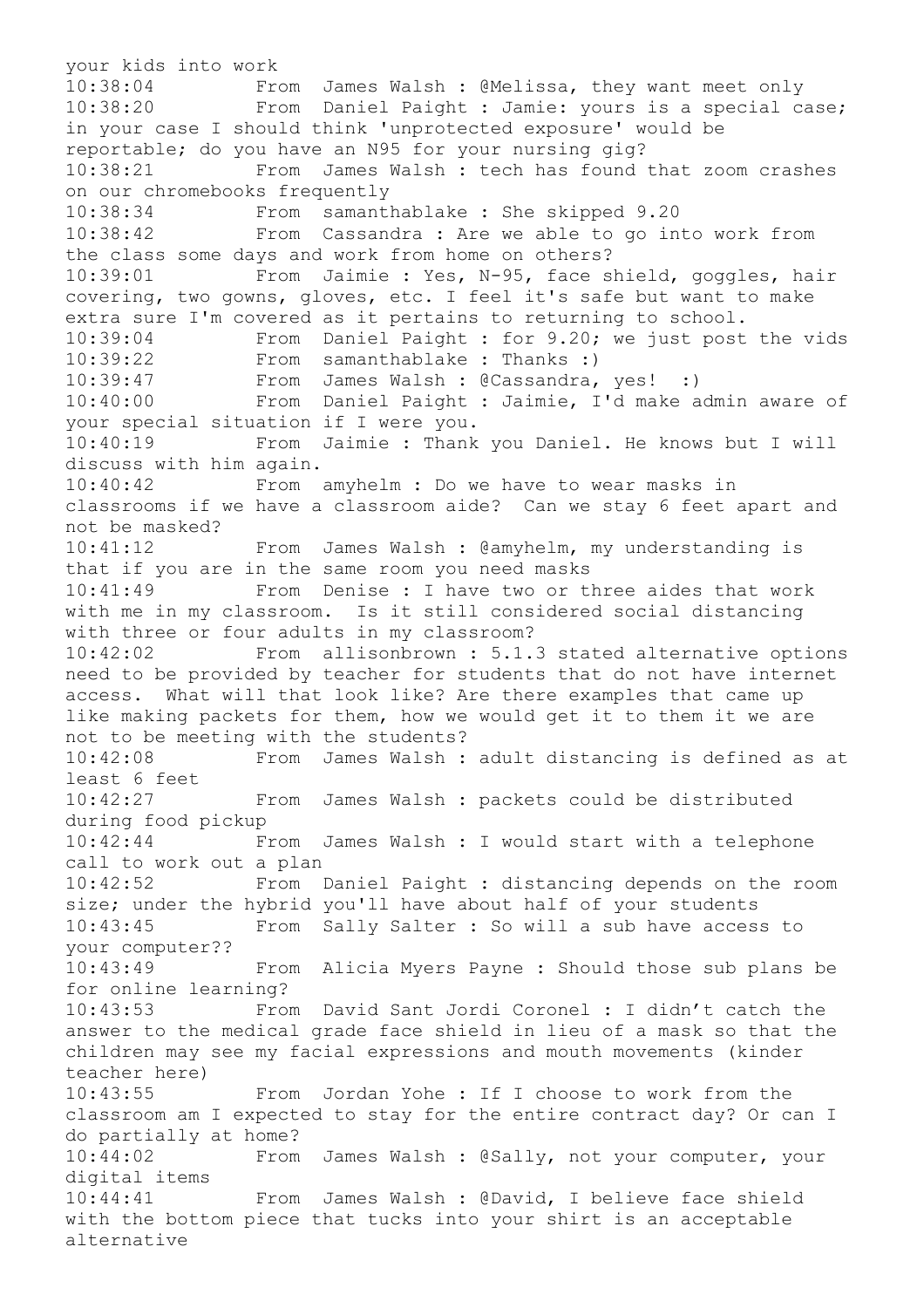your kids into work 10:38:04 From James Walsh : @Melissa, they want meet only 10:38:20 From Daniel Paight : Jamie: yours is a special case; in your case I should think 'unprotected exposure' would be reportable; do you have an N95 for your nursing gig? 10:38:21 From James Walsh : tech has found that zoom crashes on our chromebooks frequently 10:38:34 From samanthablake : She skipped 9.20 10:38:42 From Cassandra : Are we able to go into work from the class some days and work from home on others? 10:39:01 From Jaimie : Yes, N-95, face shield, goggles, hair covering, two gowns, gloves, etc. I feel it's safe but want to make extra sure I'm covered as it pertains to returning to school. 10:39:04 From Daniel Paight : for 9.20; we just post the vids<br>10:39:22 From samanthablake : Thanks :) From samanthablake : Thanks :) 10:39:47 From James Walsh : @Cassandra, yes! :) 10:40:00 From Daniel Paight : Jaimie, I'd make admin aware of your special situation if I were you. 10:40:19 From Jaimie : Thank you Daniel. He knows but I will discuss with him again. 10:40:42 From amyhelm : Do we have to wear masks in classrooms if we have a classroom aide? Can we stay 6 feet apart and not be masked? 10:41:12 From James Walsh : @amyhelm, my understanding is that if you are in the same room you need masks 10:41:49 From Denise : I have two or three aides that work with me in my classroom. Is it still considered social distancing with three or four adults in my classroom? 10:42:02 From allisonbrown : 5.1.3 stated alternative options need to be provided by teacher for students that do not have internet access. What will that look like? Are there examples that came up like making packets for them, how we would get it to them it we are not to be meeting with the students? 10:42:08 From James Walsh : adult distancing is defined as at least 6 feet 10:42:27 From James Walsh : packets could be distributed during food pickup 10:42:44 From James Walsh : I would start with a telephone call to work out a plan 10:42:52 From Daniel Paight : distancing depends on the room size; under the hybrid you'll have about half of your students 10:43:45 From Sally Salter : So will a sub have access to your computer?? 10:43:49 From Alicia Myers Payne : Should those sub plans be for online learning? 10:43:53 From David Sant Jordi Coronel : I didn't catch the answer to the medical grade face shield in lieu of a mask so that the children may see my facial expressions and mouth movements (kinder teacher here) 10:43:55 From Jordan Yohe : If I choose to work from the classroom am I expected to stay for the entire contract day? Or can I do partially at home? 10:44:02 From James Walsh : @Sally, not your computer, your digital items 10:44:41 From James Walsh : @David, I believe face shield with the bottom piece that tucks into your shirt is an acceptable alternative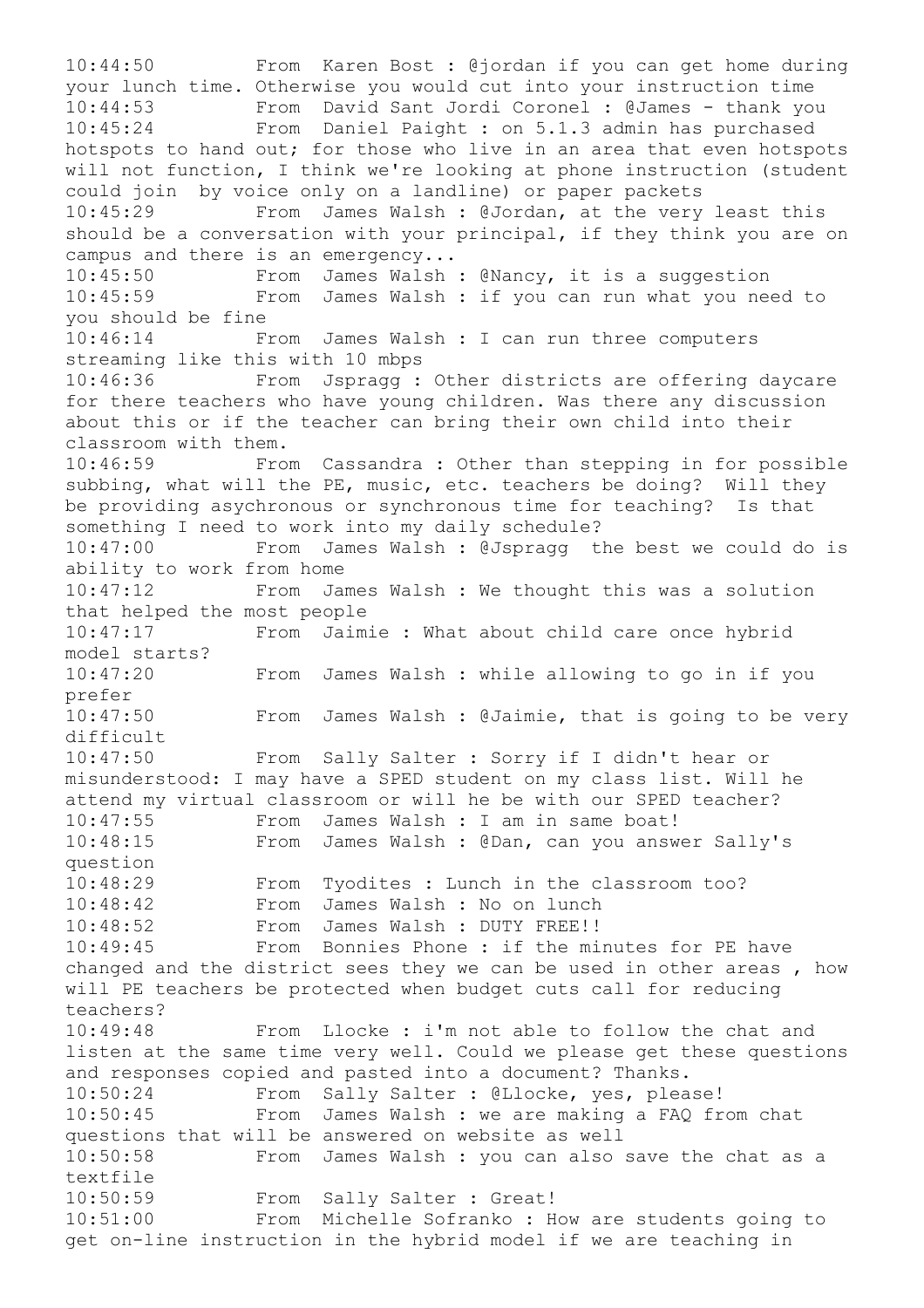10:44:50 From Karen Bost : @jordan if you can get home during your lunch time. Otherwise you would cut into your instruction time 10:44:53 From David Sant Jordi Coronel : @James - thank you 10:45:24 From Daniel Paight : on 5.1.3 admin has purchased hotspots to hand out; for those who live in an area that even hotspots will not function, I think we're looking at phone instruction (student could join by voice only on a landline) or paper packets 10:45:29 From James Walsh : @Jordan, at the very least this should be a conversation with your principal, if they think you are on campus and there is an emergency... 10:45:50 From James Walsh : @Nancy, it is a suggestion 10:45:59 From James Walsh : if you can run what you need to you should be fine 10:46:14 From James Walsh : I can run three computers streaming like this with 10 mbps 10:46:36 From Jspragg : Other districts are offering daycare for there teachers who have young children. Was there any discussion about this or if the teacher can bring their own child into their classroom with them. 10:46:59 From Cassandra : Other than stepping in for possible subbing, what will the PE, music, etc. teachers be doing? Will they be providing asychronous or synchronous time for teaching? Is that something I need to work into my daily schedule? 10:47:00 From James Walsh : @Jspragg the best we could do is ability to work from home 10:47:12 From James Walsh : We thought this was a solution that helped the most people 10:47:17 From Jaimie : What about child care once hybrid model starts? 10:47:20 From James Walsh : while allowing to go in if you prefer 10:47:50 From James Walsh : @Jaimie, that is going to be very difficult 10:47:50 From Sally Salter : Sorry if I didn't hear or misunderstood: I may have a SPED student on my class list. Will he attend my virtual classroom or will he be with our SPED teacher? 10:47:55 From James Walsh : I am in same boat! 10:48:15 From James Walsh : @Dan, can you answer Sally's question 10:48:29 From Tyodites : Lunch in the classroom too? 10:48:42 From James Walsh : No on lunch 10:48:52 From James Walsh : DUTY FREE!! 10:49:45 From Bonnies Phone : if the minutes for PE have changed and the district sees they we can be used in other areas , how will PE teachers be protected when budget cuts call for reducing teachers? 10:49:48 From Llocke : i'm not able to follow the chat and listen at the same time very well. Could we please get these questions and responses copied and pasted into a document? Thanks. 10:50:24 From Sally Salter : @Llocke, yes, please! 10:50:45 From James Walsh : we are making a FAQ from chat questions that will be answered on website as well 10:50:58 From James Walsh : you can also save the chat as a textfile 10:50:59 From Sally Salter : Great! 10:51:00 From Michelle Sofranko : How are students going to get on-line instruction in the hybrid model if we are teaching in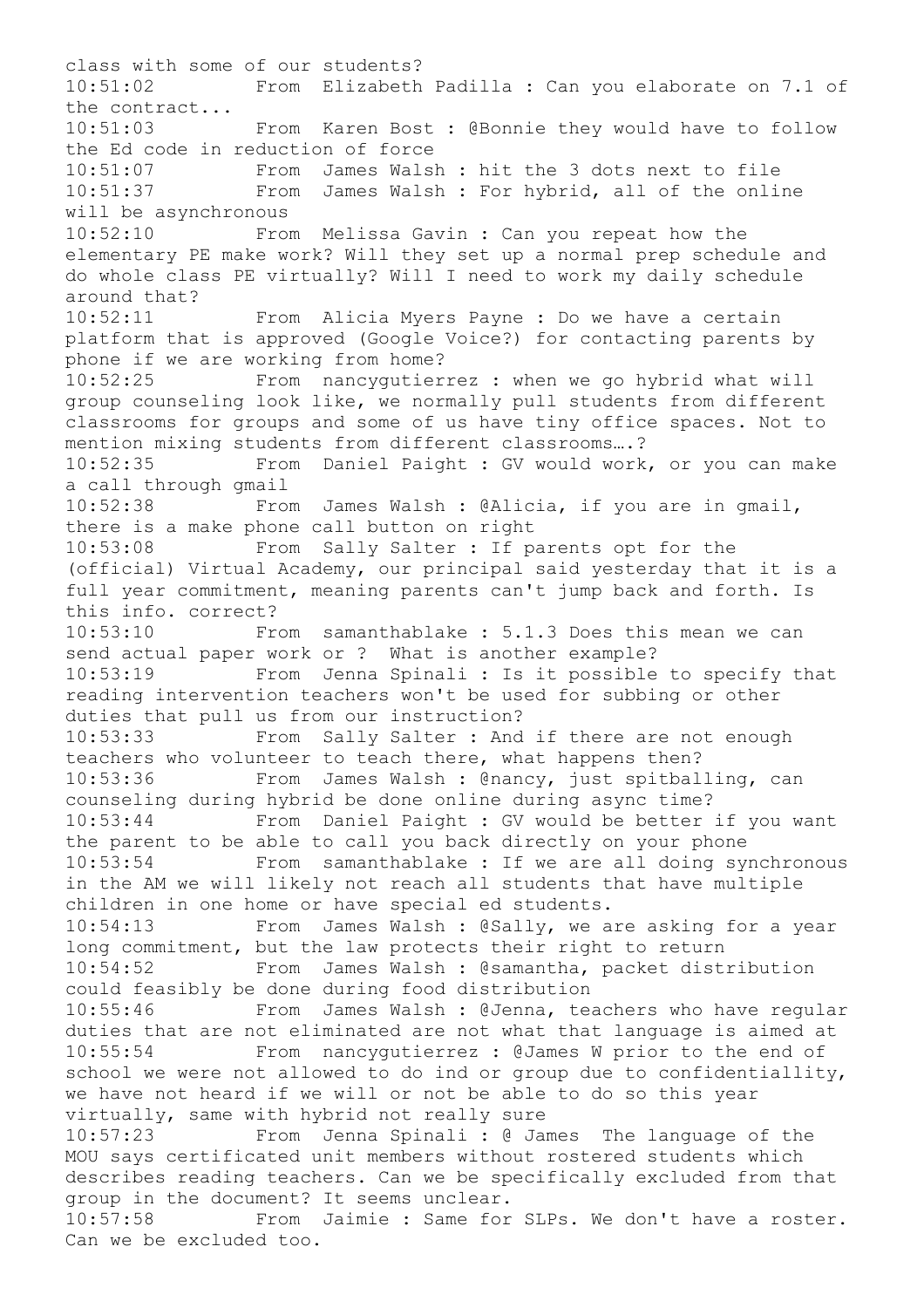class with some of our students? 10:51:02 From Elizabeth Padilla : Can you elaborate on 7.1 of the contract... 10:51:03 From Karen Bost : @Bonnie they would have to follow the Ed code in reduction of force 10:51:07 From James Walsh : hit the 3 dots next to file 10:51:37 From James Walsh : For hybrid, all of the online will be asynchronous 10:52:10 From Melissa Gavin : Can you repeat how the elementary PE make work? Will they set up a normal prep schedule and do whole class PE virtually? Will I need to work my daily schedule around that? 10:52:11 From Alicia Myers Payne : Do we have a certain platform that is approved (Google Voice?) for contacting parents by phone if we are working from home? 10:52:25 From nancygutierrez : when we go hybrid what will group counseling look like, we normally pull students from different classrooms for groups and some of us have tiny office spaces. Not to mention mixing students from different classrooms….? 10:52:35 From Daniel Paight : GV would work, or you can make a call through gmail 10:52:38 From James Walsh : @Alicia, if you are in gmail, there is a make phone call button on right 10:53:08 From Sally Salter : If parents opt for the (official) Virtual Academy, our principal said yesterday that it is a full year commitment, meaning parents can't jump back and forth. Is this info. correct? 10:53:10 From samanthablake : 5.1.3 Does this mean we can send actual paper work or ? What is another example? 10:53:19 From Jenna Spinali : Is it possible to specify that reading intervention teachers won't be used for subbing or other duties that pull us from our instruction? 10:53:33 From Sally Salter : And if there are not enough teachers who volunteer to teach there, what happens then? 10:53:36 From James Walsh : @nancy, just spitballing, can counseling during hybrid be done online during async time? 10:53:44 From Daniel Paight : GV would be better if you want the parent to be able to call you back directly on your phone 10:53:54 From samanthablake : If we are all doing synchronous in the AM we will likely not reach all students that have multiple children in one home or have special ed students. 10:54:13 From James Walsh : @Sally, we are asking for a year long commitment, but the law protects their right to return 10:54:52 From James Walsh : @samantha, packet distribution could feasibly be done during food distribution 10:55:46 From James Walsh : @Jenna, teachers who have regular duties that are not eliminated are not what that language is aimed at 10:55:54 From nancygutierrez : @James W prior to the end of school we were not allowed to do ind or group due to confidentiallity, we have not heard if we will or not be able to do so this year virtually, same with hybrid not really sure 10:57:23 From Jenna Spinali : @ James The language of the MOU says certificated unit members without rostered students which describes reading teachers. Can we be specifically excluded from that group in the document? It seems unclear. 10:57:58 From Jaimie : Same for SLPs. We don't have a roster. Can we be excluded too.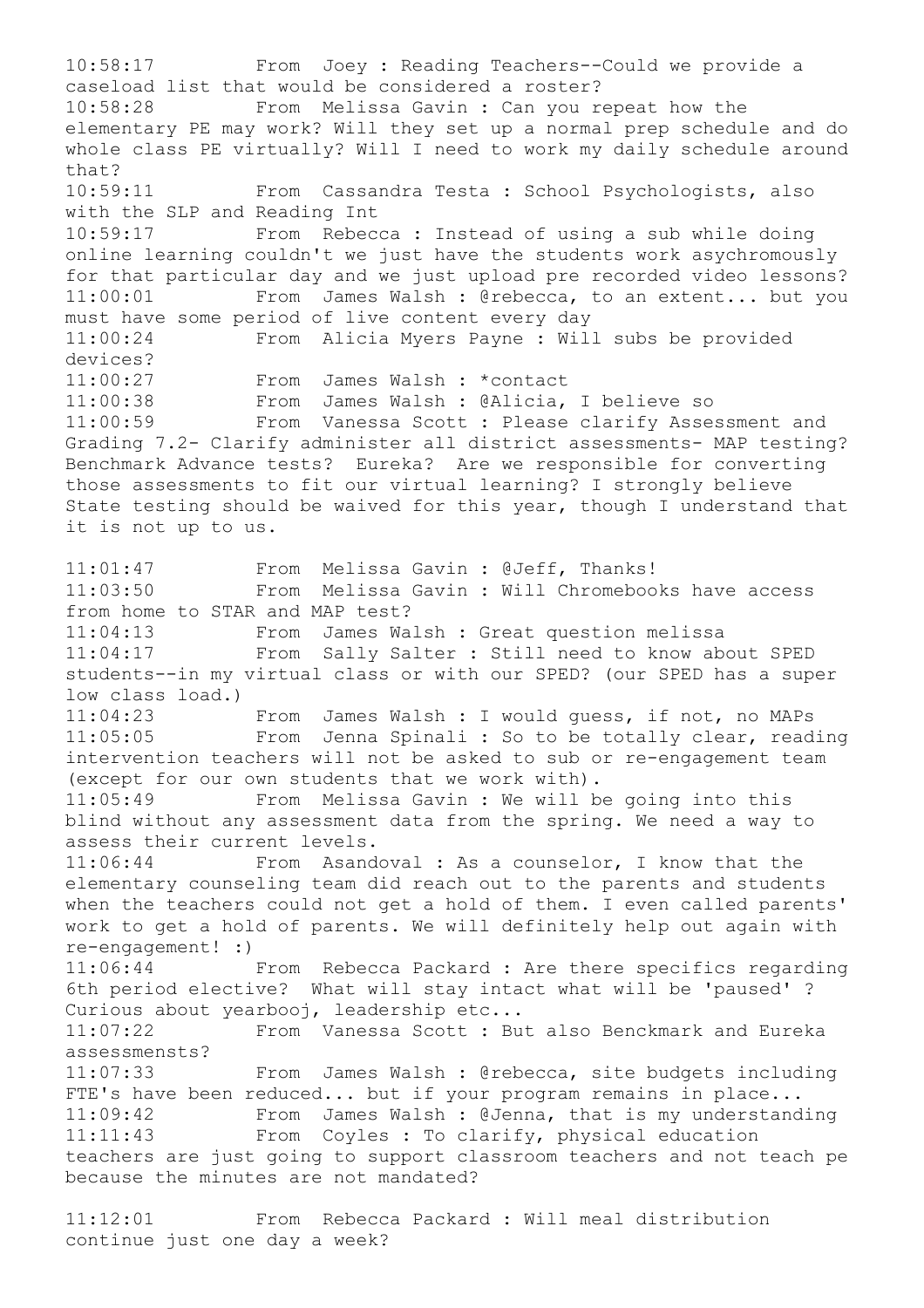10:58:17 From Joey : Reading Teachers--Could we provide a caseload list that would be considered a roster? 10:58:28 From Melissa Gavin : Can you repeat how the elementary PE may work? Will they set up a normal prep schedule and do whole class PE virtually? Will I need to work my daily schedule around that? 10:59:11 From Cassandra Testa : School Psychologists, also with the SLP and Reading Int 10:59:17 From Rebecca : Instead of using a sub while doing online learning couldn't we just have the students work asychromously for that particular day and we just upload pre recorded video lessons? 11:00:01 From James Walsh : @rebecca, to an extent... but you must have some period of live content every day 11:00:24 From Alicia Myers Payne : Will subs be provided devices? 11:00:27 From James Walsh : \*contact 11:00:38 From James Walsh : @Alicia, I believe so 11:00:59 From Vanessa Scott : Please clarify Assessment and Grading 7.2- Clarify administer all district assessments- MAP testing? Benchmark Advance tests? Eureka? Are we responsible for converting those assessments to fit our virtual learning? I strongly believe State testing should be waived for this year, though I understand that it is not up to us. 11:01:47 From Melissa Gavin : @Jeff, Thanks! 11:03:50 From Melissa Gavin : Will Chromebooks have access from home to STAR and MAP test? 11:04:13 From James Walsh : Great question melissa 11:04:17 From Sally Salter : Still need to know about SPED students--in my virtual class or with our SPED? (our SPED has a super low class load.) 11:04:23 From James Walsh : I would guess, if not, no MAPs 11:05:05 From Jenna Spinali : So to be totally clear, reading intervention teachers will not be asked to sub or re-engagement team (except for our own students that we work with). 11:05:49 From Melissa Gavin : We will be going into this blind without any assessment data from the spring. We need a way to assess their current levels. 11:06:44 From Asandoval : As a counselor, I know that the elementary counseling team did reach out to the parents and students when the teachers could not get a hold of them. I even called parents' work to get a hold of parents. We will definitely help out again with re-engagement! :) 11:06:44 From Rebecca Packard : Are there specifics regarding 6th period elective? What will stay intact what will be 'paused' ? Curious about yearbooj, leadership etc... 11:07:22 From Vanessa Scott : But also Benckmark and Eureka assessmensts? 11:07:33 From James Walsh : @rebecca, site budgets including FTE's have been reduced... but if your program remains in place... 11:09:42 From James Walsh : @Jenna, that is my understanding 11:11:43 From Coyles : To clarify, physical education teachers are just going to support classroom teachers and not teach pe because the minutes are not mandated?

11:12:01 From Rebecca Packard : Will meal distribution continue just one day a week?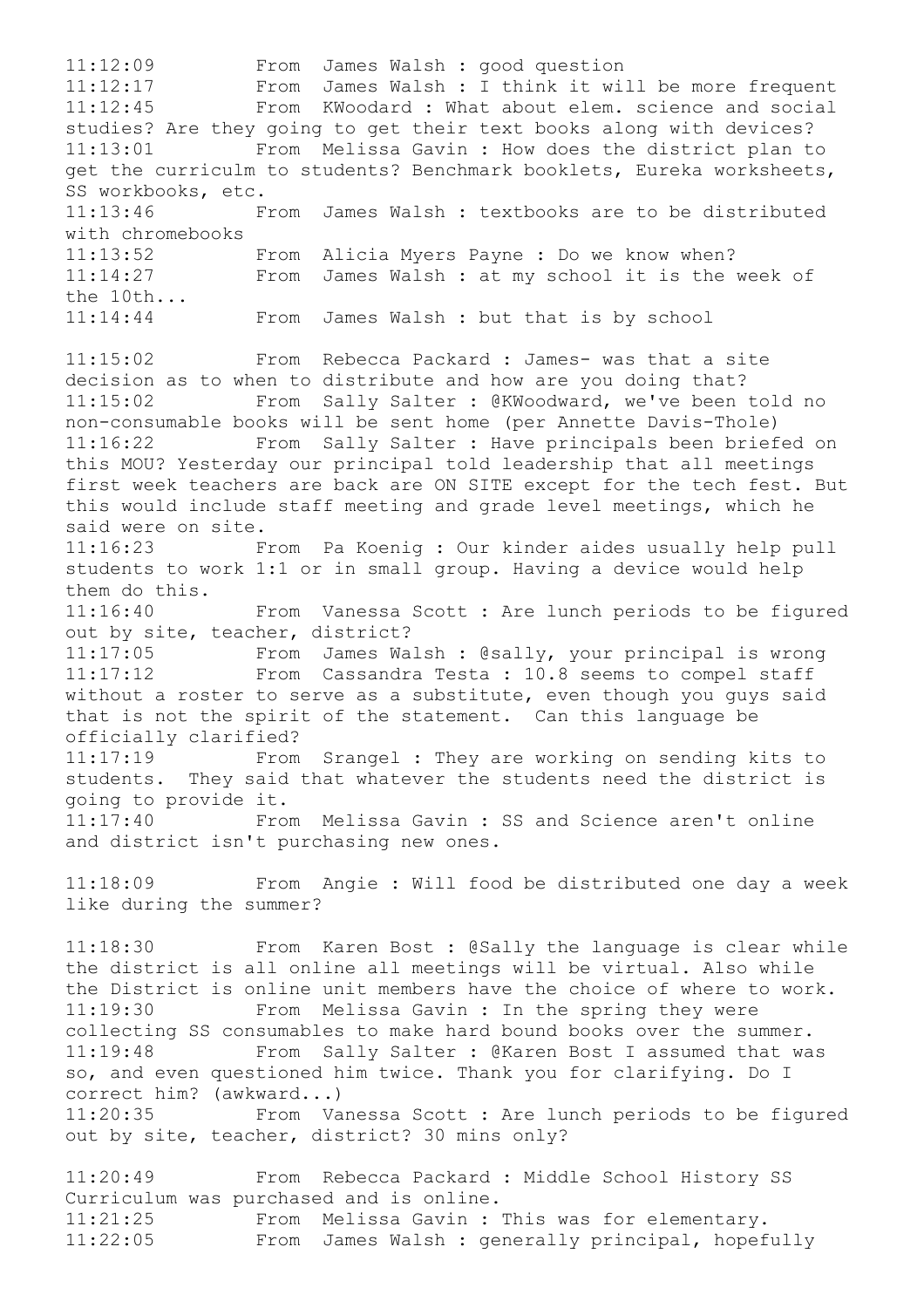11:12:09 From James Walsh : good question 11:12:17 From James Walsh : I think it will be more frequent 11:12:45 From KWoodard : What about elem. science and social studies? Are they going to get their text books along with devices? 11:13:01 From Melissa Gavin : How does the district plan to get the curriculm to students? Benchmark booklets, Eureka worksheets, SS workbooks, etc. 11:13:46 From James Walsh : textbooks are to be distributed with chromebooks 11:13:52 From Alicia Myers Payne : Do we know when? 11:14:27 From James Walsh : at my school it is the week of the 10th... 11:14:44 From James Walsh : but that is by school 11:15:02 From Rebecca Packard : James- was that a site decision as to when to distribute and how are you doing that? 11:15:02 From Sally Salter : @KWoodward, we've been told no non-consumable books will be sent home (per Annette Davis-Thole) 11:16:22 From Sally Salter : Have principals been briefed on this MOU? Yesterday our principal told leadership that all meetings first week teachers are back are ON SITE except for the tech fest. But this would include staff meeting and grade level meetings, which he said were on site. 11:16:23 From Pa Koenig : Our kinder aides usually help pull students to work 1:1 or in small group. Having a device would help them do this. 11:16:40 From Vanessa Scott : Are lunch periods to be figured out by site, teacher, district? 11:17:05 From James Walsh : @sally, your principal is wrong 11:17:12 From Cassandra Testa : 10.8 seems to compel staff without a roster to serve as a substitute, even though you guys said that is not the spirit of the statement. Can this language be officially clarified? 11:17:19 From Srangel : They are working on sending kits to students. They said that whatever the students need the district is going to provide it. 11:17:40 From Melissa Gavin : SS and Science aren't online and district isn't purchasing new ones. 11:18:09 From Angie : Will food be distributed one day a week like during the summer? 11:18:30 From Karen Bost : @Sally the language is clear while the district is all online all meetings will be virtual. Also while the District is online unit members have the choice of where to work. 11:19:30 From Melissa Gavin : In the spring they were collecting SS consumables to make hard bound books over the summer. 11:19:48 From Sally Salter : @Karen Bost I assumed that was so, and even questioned him twice. Thank you for clarifying. Do I correct him? (awkward...) 11:20:35 From Vanessa Scott : Are lunch periods to be figured out by site, teacher, district? 30 mins only? 11:20:49 From Rebecca Packard : Middle School History SS

Curriculum was purchased and is online. 11:21:25 From Melissa Gavin : This was for elementary. 11:22:05 From James Walsh : generally principal, hopefully